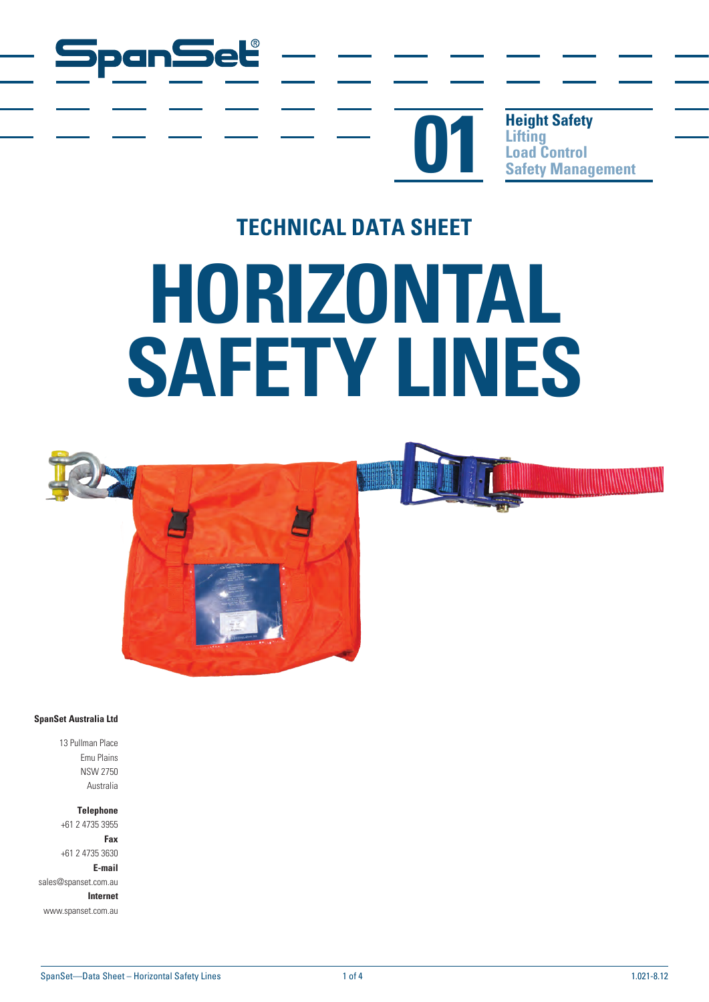



**Height Safety Lifting Safety Management** 

# **TECHNICAL DATA SHEET HORIZONTAL SAFETY LINES**



#### **SpanSet Australia Ltd**

13 Pullman Place Emu Plains NSW 2750 Australia

**Telephone**

+61 2 4735 3955 **Fax**

+61 2 4735 3630 **E-mail**

sales@spanset.com.au

**Internet**

www.spanset.com.au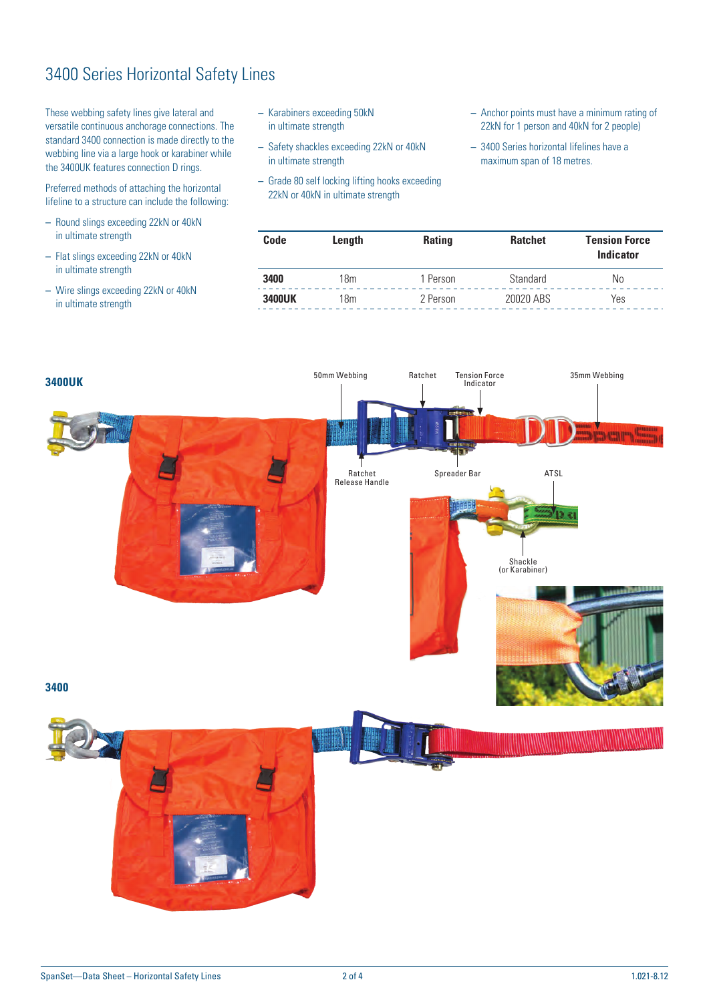## 3400 Series Horizontal Safety Lines

These webbing safety lines give lateral and versatile continuous anchorage connections. The standard 3400 connection is made directly to the webbing line via a large hook or karabiner while the 3400UK features connection D rings.

Preferred methods of attaching the horizontal lifeline to a structure can include the following:

- **–** Round slings exceeding 22kN or 40kN in ultimate strength
- **–** Flat slings exceeding 22kN or 40kN in ultimate strength
- **–** Wire slings exceeding 22kN or 40kN in ultimate strength
- **–** Karabiners exceeding 50kN in ultimate strength
- **–** Safety shackles exceeding 22kN or 40kN in ultimate strength
- **–** Grade 80 self locking lifting hooks exceeding 22kN or 40kN in ultimate strength
- **–** Anchor points must have a minimum rating of 22kN for 1 person and 40kN for 2 people)
- **–** 3400 Series horizontal lifelines have a maximum span of 18 metres.

| Code          | Length | <b>Rating</b> | <b>Ratchet</b> | <b>Tension Force</b><br><b>Indicator</b> |  |
|---------------|--------|---------------|----------------|------------------------------------------|--|
| 3400          | 18m    | 1 Person      | Standard       | No                                       |  |
| <b>3400UK</b> | 18m    | 2 Person      | 20020 ABS      | Yes                                      |  |

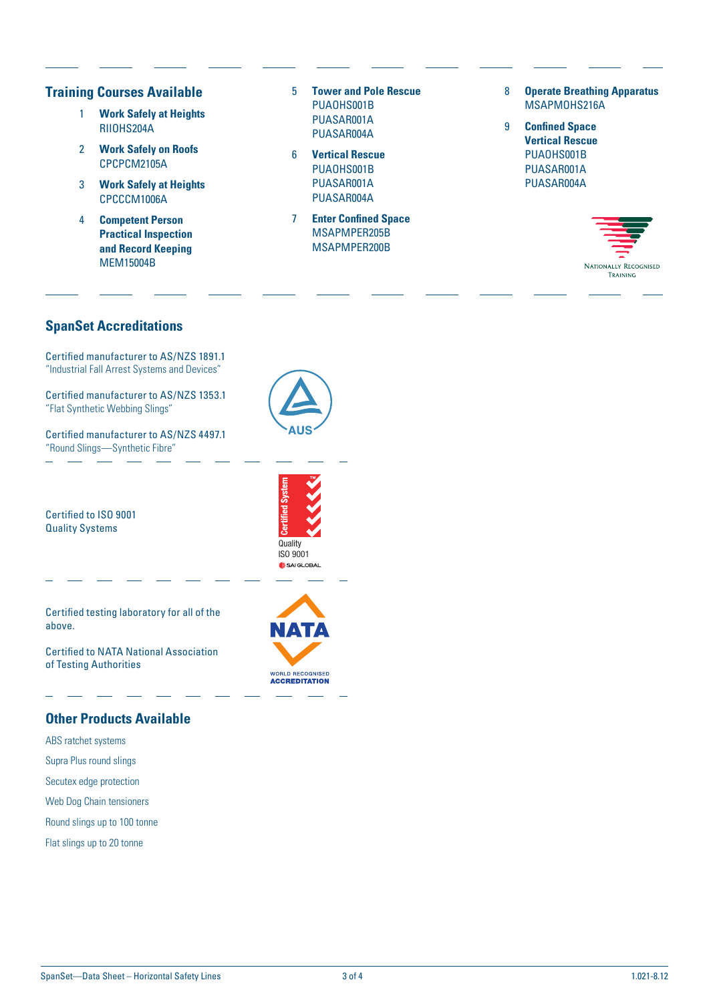#### **Training Courses Available**

- 1 **Work Safely at Heights** RIIOHS204A
- 2 **Work Safely on Roofs** CPCPCM2105A
- 3 **Work Safely at Heights** CPCCCM1006A
- 4 **Competent Person Practical Inspection and Record Keeping** MEM15004B
- 5 **Tower and Pole Rescue** PUAOHS001B PUASAR001A PUASAR004A
- 6 **Vertical Rescue** PUAOHS001B PUASAR001A PUASAR004A
- 7 **Enter Confined Space** MSAPMPER205B MSAPMPER200B
- 8 **Operate Breathing Apparatus** MSAPMOHS216A
- 9 **Confined Space Vertical Rescue** PUAOHS001B PUASAR001A PUASAR004A



### **SpanSet Accreditations**

Certified manufacturer to AS/NZS 1891.1 "Industrial Fall Arrest Systems and Devices"

Certified manufacturer to AS/NZS 1353.1 "Flat Synthetic Webbing Slings"

Certified manufacturer to AS/NZS 4497.1 "Round Slings—Synthetic Fibre"



Certified to ISO 9001 Quality Systems

Certified testing laboratory for all of the above.

Certified to NATA National Association of Testing Authorities

#### **Other Products Available**

- ABS ratchet systems
- Supra Plus round slings
- Secutex edge protection
- Web Dog Chain tensioners
- Round slings up to 100 tonne
- Flat slings up to 20 tonne



**Quality**